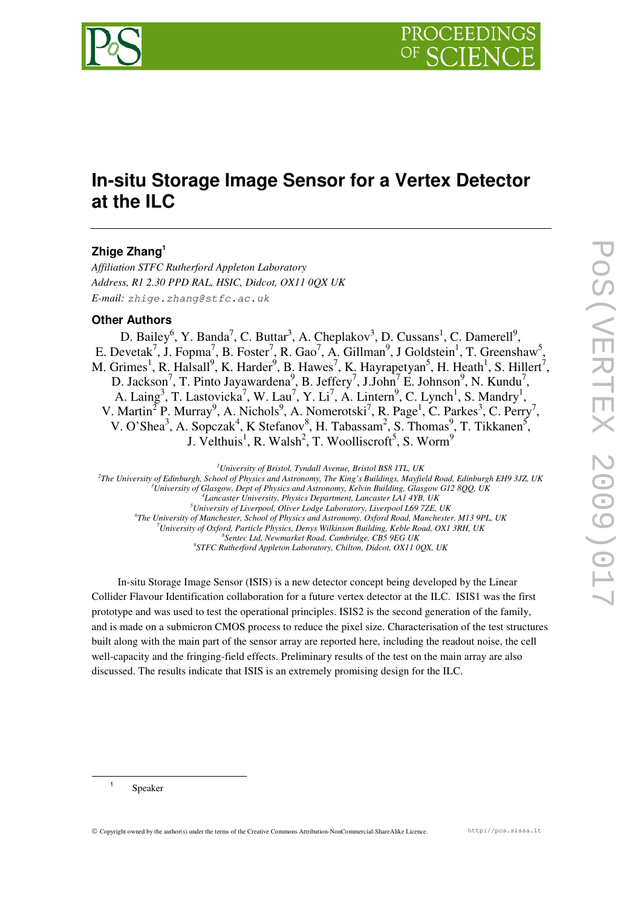

# **In-situ Storage Image Sensor for a Vertex Detector at the ILC**

# **Zhige Zhang<sup>1</sup>**

*Affiliation STFC Rutherford Appleton Laboratory Address, R1 2.30 PPD RAL, HSIC, Didcot, OX11 0QX UK E-mail:* zhige.zhang@stfc.ac.uk

# **Other Authors**

D. Bailey<sup>6</sup>, Y. Banda<sup>7</sup>, C. Buttar<sup>3</sup>, A. Cheplakov<sup>3</sup>, D. Cussans<sup>1</sup>, C. Damerell<sup>9</sup>, E. Devetak<sup>7</sup>, J. Fopma<sup>7</sup>, B. Foster<sup>7</sup>, R. Gao<sup>7</sup>, A. Gillman<sup>9</sup>, J Goldstein<sup>1</sup>, T. Greenshaw<sup>5</sup>, M. Grimes<sup>1</sup>, R. Halsall<sup>9</sup>, K. Harder<sup>9</sup>, B. Hawes<sup>7</sup>, K. Hayrapetyan<sup>5</sup>, H. Heath<sup>1</sup>, S. Hillert<sup>7</sup>, D. Jackson<sup>7</sup>, T. Pinto Jayawardena<sup>9</sup>, B. Jeffery<sup>7</sup>, J.John<sup>7</sup> E. Johnson<sup>9</sup>, N. Kundu<sup>7</sup>, A. Laing<sup>3</sup>, T. Lastovicka<sup>7</sup>, W. Lau<sup>7</sup>, Y. Li<sup>7</sup>, A. Lintern<sup>9</sup>, C. Lynch<sup>1</sup>, S. Mandry<sup>1</sup>, V. Martin<sup>2</sup> P. Murray<sup>9</sup>, A. Nichols<sup>9</sup>, A. Nomerotski<sup>7</sup>, R. Page<sup>1</sup>, C. Parkes<sup>3</sup>, C. Perry<sup>7</sup>, V. O'Shea<sup>3</sup>, A. Sopczak<sup>4</sup>, K Stefanov<sup>8</sup>, H. Tabassam<sup>2</sup>, S. Thomas<sup>9</sup>, T. Tikkanen<sup>5</sup>, J. Velthuis<sup>1</sup>, R. Walsh<sup>2</sup>, T. Woolliscroft<sup>5</sup>, S. Worm<sup>9</sup>

*University of Bristol, Tyndall Avenue, Bristol BS8 1TL, UK The University of Edinburgh, School of Physics and Astronomy, The King's Buildings, Mayfield Road, Edinburgh EH9 3JZ, UK University of Glasgow, Dept of Physics and Astronomy, Kelvin Building, Glasgow G12 8QQ, UK Lancaster University, Physics Department, Lancaster LA1 4YB, UK University of Liverpool, Oliver Lodge Laboratory, Liverpool L69 7ZE, UK The University of Manchester, School of Physics and Astronomy, Oxford Road, Manchester, M13 9PL, UK University of Oxford, Particle Physics, Denys Wilkinson Building, Keble Road, OX1 3RH, UK Sentec Ltd, Newmarket Road, Cambridge, CB5 9EG UK STFC Rutherford Appleton Laboratory, Chilton, Didcot, OX11 0QX, UK* 

In-situ Storage Image Sensor (ISIS) is a new detector concept being developed by the Linear Collider Flavour Identification collaboration for a future vertex detector at the ILC. ISIS1 was the first prototype and was used to test the operational principles. ISIS2 is the second generation of the family, and is made on a submicron CMOS process to reduce the pixel size. Characterisation of the test structures built along with the main part of the sensor array are reported here, including the readout noise, the cell well-capacity and the fringing-field effects. Preliminary results of the test on the main array are also discussed. The results indicate that ISIS is an extremely promising design for the ILC.

1 Speaker

 $\overline{a}$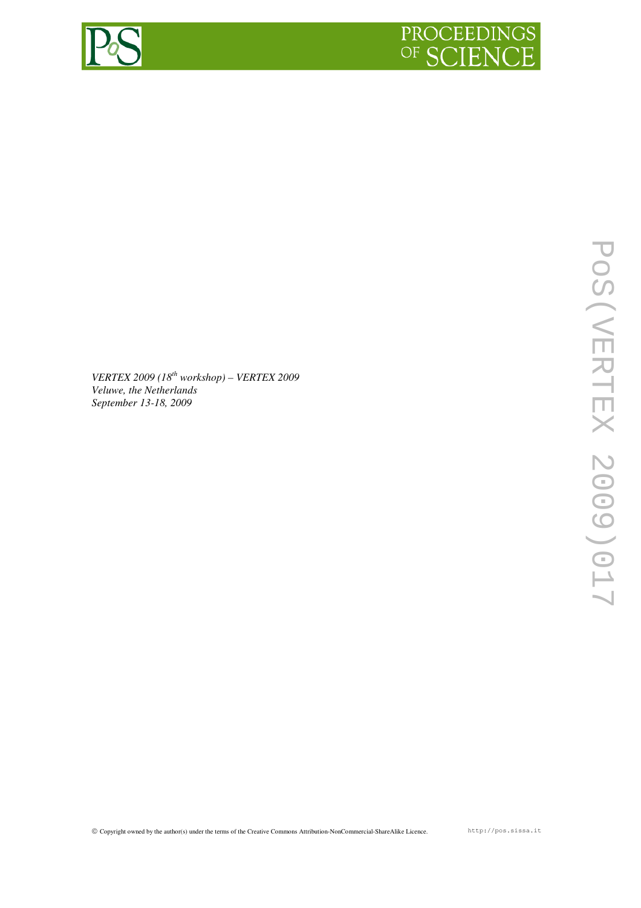

*VERTEX 2009 (18th workshop) – VERTEX 2009 Veluwe, the Netherlands September 13-18, 2009*

Copyright owned by the author(s) under the terms of the Creative Commons Attribution-NonCommercial-ShareAlike Licence. http://pos.sissa.it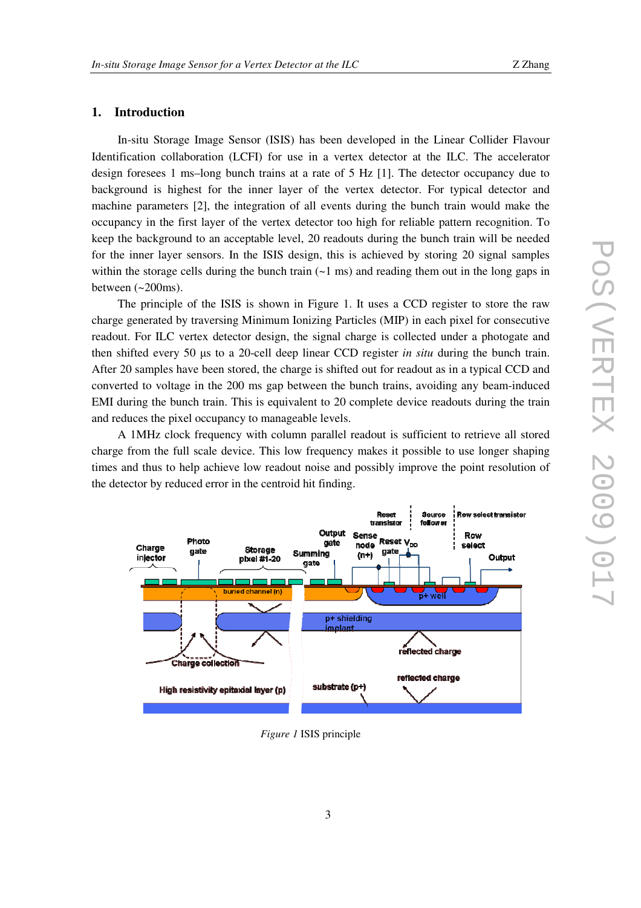# **1. Introduction**

In-situ Storage Image Sensor (ISIS) has been developed in the Linear Collider Flavour Identification collaboration (LCFI) for use in a vertex detector at the ILC. The accelerator design foresees 1 ms–long bunch trains at a rate of 5 Hz [1]. The detector occupancy due to background is highest for the inner layer of the vertex detector. For typical detector and machine parameters [2], the integration of all events during the bunch train would make the occupancy in the first layer of the vertex detector too high for reliable pattern recognition. To keep the background to an acceptable level, 20 readouts during the bunch train will be needed for the inner layer sensors. In the ISIS design, this is achieved by storing 20 signal samples within the storage cells during the bunch train  $(-1 \text{ ms})$  and reading them out in the long gaps in between  $\left(\sim\!200\text{ms}\right)$ .

The principle of the ISIS is shown in Figure 1. It uses a CCD register to store the raw charge generated by traversing Minimum Ionizing Particles (MIP) in each pixel for consecutive readout. For ILC vertex detector design, the signal charge is collected under a photogate and then shifted every 50 µs to a 20-cell deep linear CCD register *in situ* during the bunch train. After 20 samples have been stored, the charge is shifted out for readout as in a typical CCD and converted to voltage in the 200 ms gap between the bunch trains, avoiding any beam-induced EMI during the bunch train. This is equivalent to 20 complete device readouts during the train and reduces the pixel occupancy to manageable levels.

A 1MHz clock frequency with column parallel readout is sufficient to retrieve all stored charge from the full scale device. This low frequency makes it possible to use longer shaping times and thus to help achieve low readout noise and possibly improve the point resolution of the detector by reduced error in the centroid hit finding.



*Figure 1* ISIS principle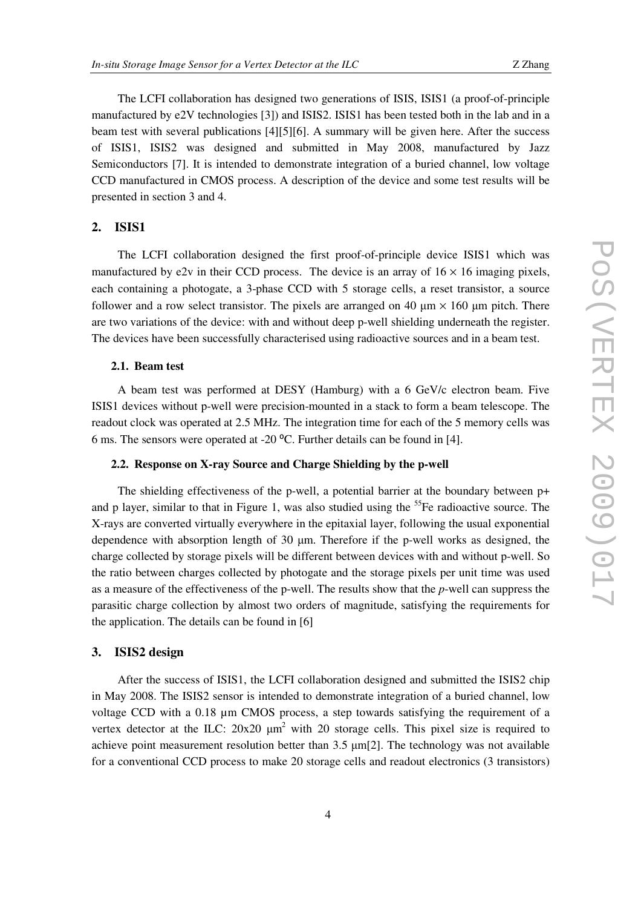The LCFI collaboration has designed two generations of ISIS, ISIS1 (a proof-of-principle manufactured by e2V technologies [3]) and ISIS2. ISIS1 has been tested both in the lab and in a beam test with several publications [4][5][6]. A summary will be given here. After the success of ISIS1, ISIS2 was designed and submitted in May 2008, manufactured by Jazz Semiconductors [7]. It is intended to demonstrate integration of a buried channel, low voltage CCD manufactured in CMOS process. A description of the device and some test results will be presented in section 3 and 4.

# **2. ISIS1**

The LCFI collaboration designed the first proof-of-principle device ISIS1 which was manufactured by e2v in their CCD process. The device is an array of  $16 \times 16$  imaging pixels, each containing a photogate, a 3-phase CCD with 5 storage cells, a reset transistor, a source follower and a row select transistor. The pixels are arranged on 40  $\mu$ m  $\times$  160  $\mu$ m pitch. There are two variations of the device: with and without deep p-well shielding underneath the register. The devices have been successfully characterised using radioactive sources and in a beam test.

## **2.1. Beam test**

A beam test was performed at DESY (Hamburg) with a 6 GeV/c electron beam. Five ISIS1 devices without p-well were precision-mounted in a stack to form a beam telescope. The readout clock was operated at 2.5 MHz. The integration time for each of the 5 memory cells was 6 ms. The sensors were operated at -20  $^{\circ}$ C. Further details can be found in [4].

## **2.2. Response on X-ray Source and Charge Shielding by the p-well**

The shielding effectiveness of the p-well, a potential barrier at the boundary between p+ and p layer, similar to that in Figure 1, was also studied using the <sup>55</sup>Fe radioactive source. The X-rays are converted virtually everywhere in the epitaxial layer, following the usual exponential dependence with absorption length of 30 µm. Therefore if the p-well works as designed, the charge collected by storage pixels will be different between devices with and without p-well. So the ratio between charges collected by photogate and the storage pixels per unit time was used as a measure of the effectiveness of the p-well. The results show that the *p*-well can suppress the parasitic charge collection by almost two orders of magnitude, satisfying the requirements for the application. The details can be found in [6]

#### **3. ISIS2 design**

After the success of ISIS1, the LCFI collaboration designed and submitted the ISIS2 chip in May 2008. The ISIS2 sensor is intended to demonstrate integration of a buried channel, low voltage CCD with a 0.18 µm CMOS process, a step towards satisfying the requirement of a vertex detector at the ILC:  $20x20 \mu m^2$  with 20 storage cells. This pixel size is required to achieve point measurement resolution better than  $3.5 \mu m[2]$ . The technology was not available for a conventional CCD process to make 20 storage cells and readout electronics (3 transistors)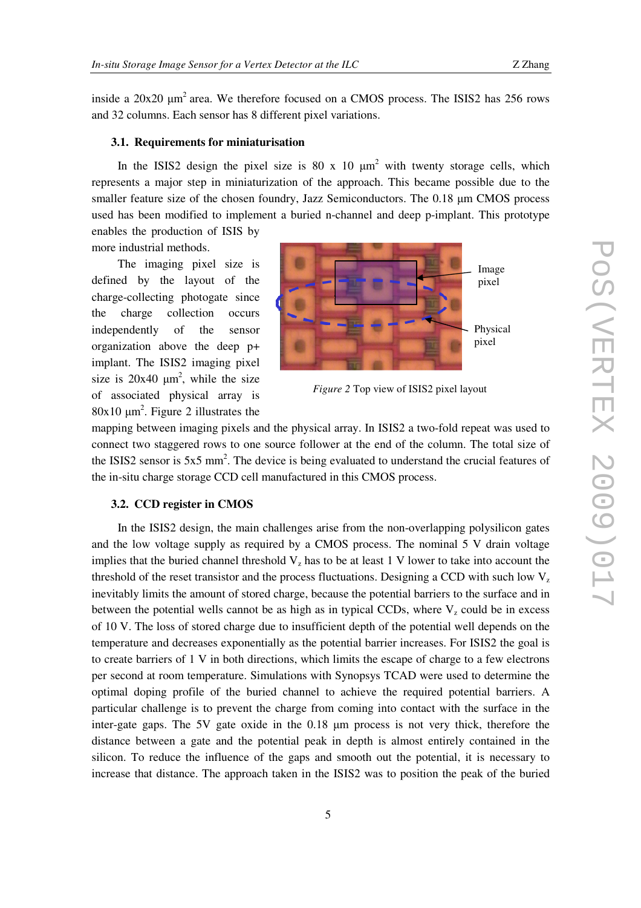inside a  $20x20 \mu m^2$  area. We therefore focused on a CMOS process. The ISIS2 has 256 rows and 32 columns. Each sensor has 8 different pixel variations.

#### **3.1. Requirements for miniaturisation**

In the ISIS2 design the pixel size is 80 x 10  $\mu$ m<sup>2</sup> with twenty storage cells, which represents a major step in miniaturization of the approach. This became possible due to the smaller feature size of the chosen foundry, Jazz Semiconductors. The 0.18  $\mu$ m CMOS process used has been modified to implement a buried n-channel and deep p-implant. This prototype

enables the production of ISIS by more industrial methods.

The imaging pixel size is defined by the layout of the charge-collecting photogate since the charge collection occurs independently of the sensor organization above the deep p+ implant. The ISIS2 imaging pixel size is  $20x40 \mu m^2$ , while the size of associated physical array is  $80x10 \mu m^2$ . Figure 2 illustrates the



*Figure 2* Top view of ISIS2 pixel layout

mapping between imaging pixels and the physical array. In ISIS2 a two-fold repeat was used to connect two staggered rows to one source follower at the end of the column. The total size of the ISIS2 sensor is  $5x5$  mm<sup>2</sup>. The device is being evaluated to understand the crucial features of the in-situ charge storage CCD cell manufactured in this CMOS process.

## **3.2. CCD register in CMOS**

In the ISIS2 design, the main challenges arise from the non-overlapping polysilicon gates and the low voltage supply as required by a CMOS process. The nominal 5 V drain voltage implies that the buried channel threshold  $V_z$  has to be at least 1 V lower to take into account the threshold of the reset transistor and the process fluctuations. Designing a CCD with such low  $V_{\tau}$ inevitably limits the amount of stored charge, because the potential barriers to the surface and in between the potential wells cannot be as high as in typical CCDs, where  $V_z$  could be in excess of 10 V. The loss of stored charge due to insufficient depth of the potential well depends on the temperature and decreases exponentially as the potential barrier increases. For ISIS2 the goal is to create barriers of 1 V in both directions, which limits the escape of charge to a few electrons per second at room temperature. Simulations with Synopsys TCAD were used to determine the optimal doping profile of the buried channel to achieve the required potential barriers. A particular challenge is to prevent the charge from coming into contact with the surface in the inter-gate gaps. The 5V gate oxide in the 0.18 µm process is not very thick, therefore the distance between a gate and the potential peak in depth is almost entirely contained in the silicon. To reduce the influence of the gaps and smooth out the potential, it is necessary to increase that distance. The approach taken in the ISIS2 was to position the peak of the buried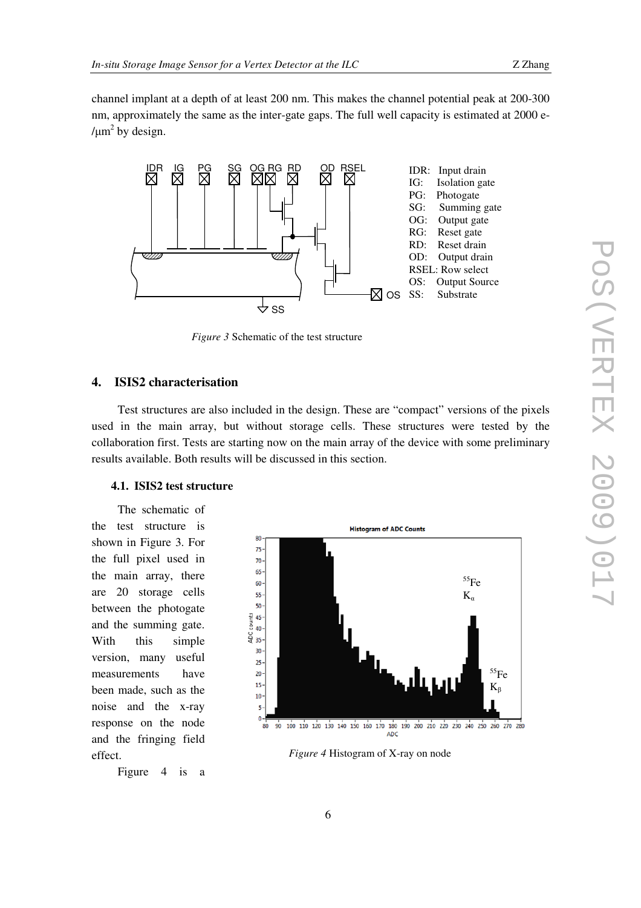channel implant at a depth of at least 200 nm. This makes the channel potential peak at 200-300 nm, approximately the same as the inter-gate gaps. The full well capacity is estimated at 2000 e-/ $\mu$ m<sup>2</sup> by design.



*Figure 3* Schematic of the test structure

# **4. ISIS2 characterisation**

Test structures are also included in the design. These are "compact" versions of the pixels used in the main array, but without storage cells. These structures were tested by the collaboration first. Tests are starting now on the main array of the device with some preliminary results available. Both results will be discussed in this section.

## **4.1. ISIS2 test structure**

The schematic of the test structure is shown in Figure 3. For the full pixel used in the main array, there are 20 storage cells between the photogate and the summing gate. With this simple version, many useful measurements have been made, such as the noise and the x-ray response on the node and the fringing field effect.



*Figure 4* Histogram of X-ray on node

Figure 4 is a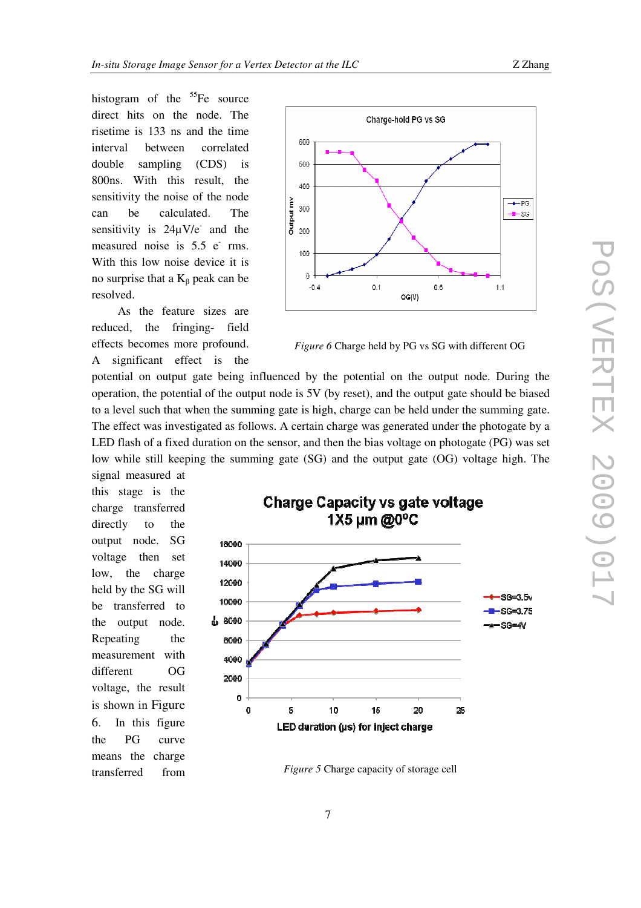histogram of the  ${}^{55}Fe$  source direct hits on the node. The risetime is 133 ns and the time interval between correlated double sampling (CDS) is 800ns. With this result, the sensitivity the noise of the node can be calculated. The sensitivity is  $24\mu\text{V/e}$  and the measured noise is  $5.5 e^-$  rms. With this low noise device it is no surprise that a  $K<sub>β</sub>$  peak can be resolved.

As the feature sizes are reduced, the fringing- field effects becomes more profound. A significant effect is the



*Figure 6* Charge held by PG vs SG with different OG

potential on output gate being influenced by the potential on the output node. During the operation, the potential of the output node is 5V (by reset), and the output gate should be biased to a level such that when the summing gate is high, charge can be held under the summing gate. The effect was investigated as follows. A certain charge was generated under the photogate by a LED flash of a fixed duration on the sensor, and then the bias voltage on photogate (PG) was set low while still keeping the summing gate (SG) and the output gate (OG) voltage high. The signal measured at

this stage is the charge transferred directly to the output node. SG voltage then set low, the charge held by the SG will be transferred to the output node. Repeating the measurement with different OG voltage, the result is shown in Figure 6. In this figure the PG curve means the charge



transferred from *Figure 5* Charge capacity of storage cell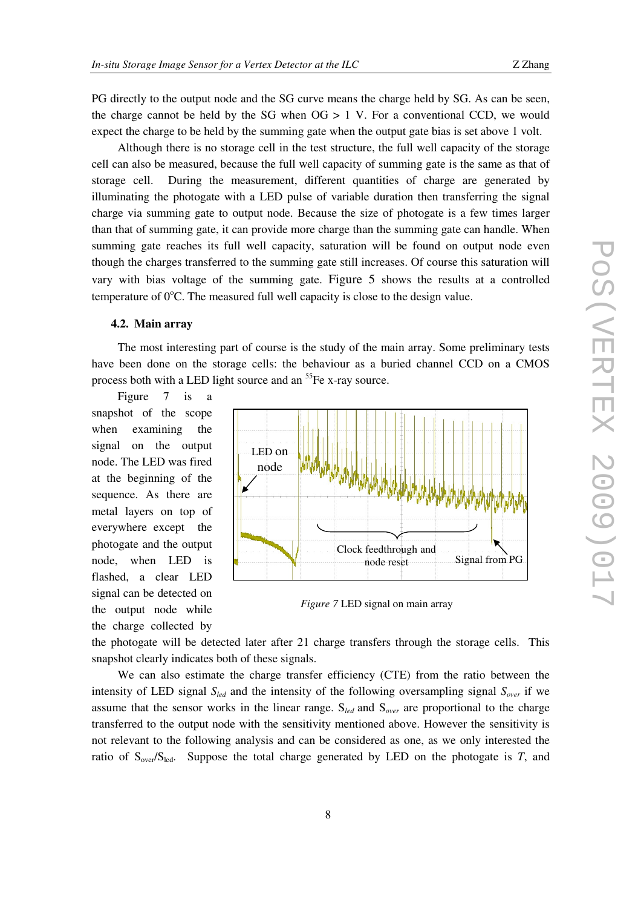PG directly to the output node and the SG curve means the charge held by SG. As can be seen, the charge cannot be held by the SG when  $\text{OG} > 1$  V. For a conventional CCD, we would expect the charge to be held by the summing gate when the output gate bias is set above 1 volt.

Although there is no storage cell in the test structure, the full well capacity of the storage cell can also be measured, because the full well capacity of summing gate is the same as that of storage cell. During the measurement, different quantities of charge are generated by illuminating the photogate with a LED pulse of variable duration then transferring the signal charge via summing gate to output node. Because the size of photogate is a few times larger than that of summing gate, it can provide more charge than the summing gate can handle. When summing gate reaches its full well capacity, saturation will be found on output node even though the charges transferred to the summing gate still increases. Of course this saturation will vary with bias voltage of the summing gate. Figure 5 shows the results at a controlled temperature of  $0^{\circ}$ C. The measured full well capacity is close to the design value.

# **4.2. Main array**

The most interesting part of course is the study of the main array. Some preliminary tests have been done on the storage cells: the behaviour as a buried channel CCD on a CMOS process both with a LED light source and an <sup>55</sup>Fe x-ray source.

Figure 7 is a snapshot of the scope when examining the signal on the output node. The LED was fired at the beginning of the sequence. As there are metal layers on top of everywhere except the photogate and the output node, when LED is flashed, a clear LED signal can be detected on the output node while the charge collected by



*Figure 7* LED signal on main array

the photogate will be detected later after 21 charge transfers through the storage cells. This snapshot clearly indicates both of these signals.

We can also estimate the charge transfer efficiency (CTE) from the ratio between the intensity of LED signal *Sled* and the intensity of the following oversampling signal *Sover* if we assume that the sensor works in the linear range. S*led* and S*over* are proportional to the charge transferred to the output node with the sensitivity mentioned above. However the sensitivity is not relevant to the following analysis and can be considered as one, as we only interested the ratio of  $S_{over}/S_{led}$ . Suppose the total charge generated by LED on the photogate is *T*, and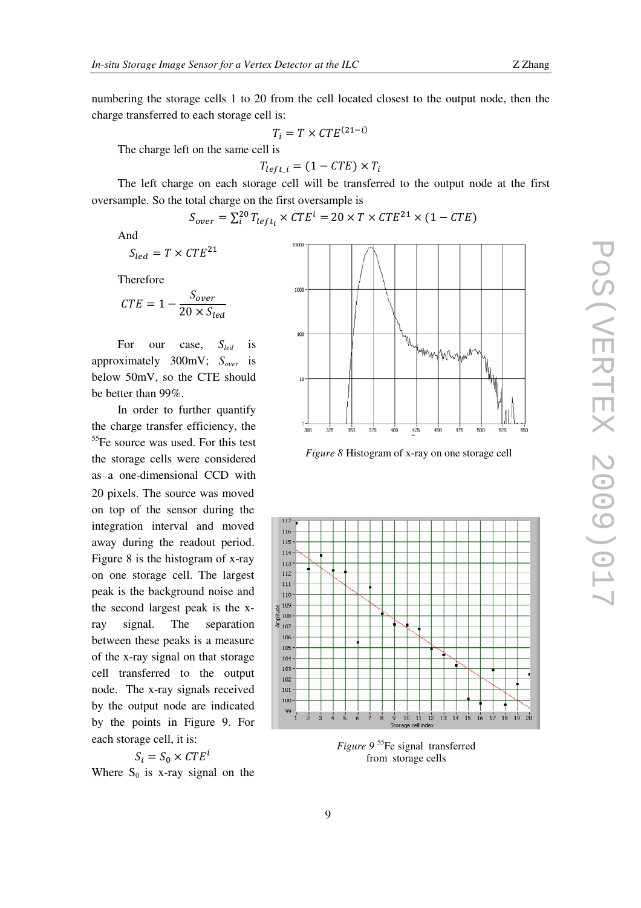numbering the storage cells 1 to 20 from the cell located closest to the output node, then the charge transferred to each storage cell is:

$$
T_i = T \times CTE^{(21-i)}
$$

The charge left on the same cell is

$$
T_{left\_i} = (1 - CTE) \times T_i
$$

The left charge on each storage cell will be transferred to the output node at the first oversample. So the total charge on the first oversample is

$$
S_{over} = \sum_{i=1}^{20} T_{left_i} \times CTE^{i} = 20 \times T \times CTE^{21} \times (1 - CTE)
$$

And

$$
S_{led} = T \times CTE^{21}
$$

Therefore

$$
CTE = 1 - \frac{S_{over}}{20 \times S_{led}}
$$

For our case, *Sled* is approximately 300mV; *Sover* is below 50mV, so the CTE should be better than 99%.

In order to further quantify the charge transfer efficiency, the <sup>55</sup>Fe source was used. For this test the storage cells were considered as a one-dimensional CCD with 20 pixels. The source was moved on top of the sensor during the integration interval and moved away during the readout period. Figure 8 is the histogram of x-ray on one storage cell. The largest peak is the background noise and the second largest peak is the xray signal. The separation between these peaks is a measure of the x-ray signal on that storage cell transferred to the output node. The x-ray signals received by the output node are indicated by the points in Figure 9. For each storage cell, it is:

 $S_i = S_0 \times CTE^i$ Where  $S_0$  is x-ray signal on the



*Figure 8* Histogram of x-ray on one storage cell



*Figure* 9<sup>55</sup>Fe signal transferred from storage cells